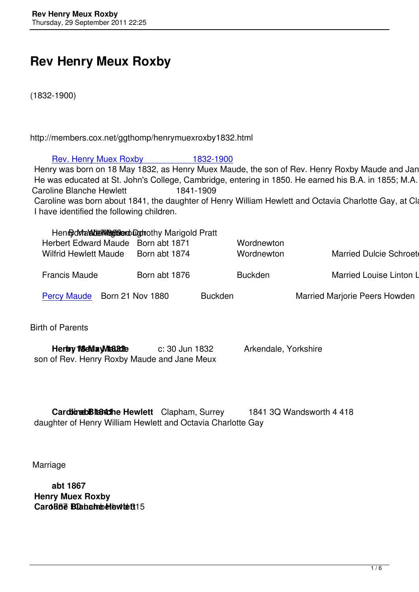# **Rev Henry Meux Roxby**

(1832-1900)

http://members.cox.net/ggthomp/henrymuexroxby1832.html

# Rev. Henry Muex Roxby 1832-1900

Henry was born on 18 May 1832, as Henry Muex Maude, the son of Rev. Henry Roxby Maude and Jane M He was educated at St. John's College, Cambridge, entering in 1850. He earned his B.A. in 1855; M.A. in Caroline Blanche Hewlett 1841-1909 Caroline was born about 1841, the daughter of Henry William Hewlett and Octavia Charlotte Gay, at Claph I have identified the following children.

| Henrod Mark Humman Dightothy Marigold Pratt |               |                |                |                                    |
|---------------------------------------------|---------------|----------------|----------------|------------------------------------|
| Herbert Edward Maude Born abt 1871          |               |                | Wordnewton     |                                    |
| <b>Wilfrid Hewlett Maude</b>                | Born abt 1874 |                | Wordnewton     | <b>Married Dulcie Schroeter</b>    |
|                                             |               |                |                |                                    |
| <b>Francis Maude</b>                        | Born abt 1876 |                | <b>Buckden</b> | <b>Married Louise Linton Linte</b> |
|                                             |               |                |                |                                    |
| Percy Maude Born 21 Nov 1880                |               | <b>Buckden</b> |                | Married Marjorie Peers Howden      |
|                                             |               |                |                |                                    |

Bir[th of Parents](#percy)

| <b>Herby 18 May Mta 32e</b>                 | c: 30 Jun 1832 | Arkendale, Yorkshire |
|---------------------------------------------|----------------|----------------------|
| son of Rev. Henry Roxby Maude and Jane Meux |                |                      |

**CardinabBlandhe Hewlett** Clapham, Surrey 1841 3Q Wandsworth 4 418 daughter of Henry William Hewlett and Octavia Charlotte Gay

Marriage

 **abt 1867 Henry Muex Roxby Caroline Blanche Hewlett**<sub>15</sub>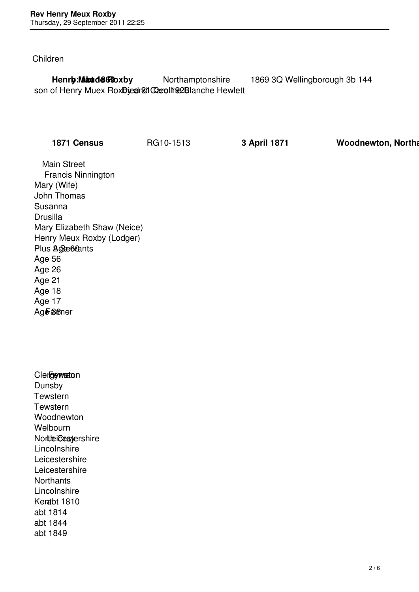Children

**Henry: Maude Roxby b: Abte 1869** 3Q Wellingborough 3b 144 son of Henry Muex RoxDied and Caroline Blanche Hewlett

**1871 Census** RG10-1513 **3 April 1871 Woodnewton, Northa** 

 Main Street Francis Ninnington Mary (Wife) John Thomas Susanna **Drusilla**  Mary Elizabeth Shaw (Neice) Henry Meux Roxby (Lodger) Plus **Age 60ants**  Age 56 Age 26 Age 21 Age 18 Age 17 Age a<sub>8</sub> a<sub>6</sub>

| <b>Clergewston</b>          |
|-----------------------------|
| Dunsby                      |
| Tewstern                    |
| Tewstern                    |
| Woodnewton                  |
| Welbourn                    |
| Nortlei <b>Cest</b> ershire |
| Lincolnshire                |
| Leicestershire              |
| Leicestershire              |
| Northants                   |
| Lincolnshire                |
| Kenabt 1810                 |
| abt 1814                    |
| abt 1844                    |
| abt 1849                    |
|                             |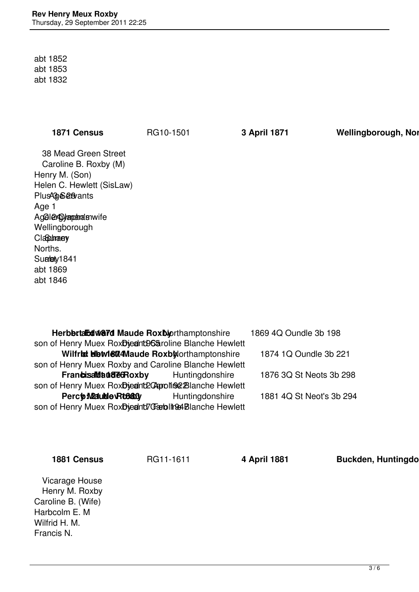abt 1852 abt 1853 abt 1832

1871 Census **RG10-1501 3 April 1871 Wellingborough, Northampton** 

 38 Mead Green Street Caroline B. Roxby (M) Henry M. (Son) Helen C. Hewlett (SisLaw) Plus 4 Servants Age 1 Agelergymants wife Wellingborough Claptiman ey Norths. Sualety1841 abt 1869 abt 1846

| Herbbrta Edward Maude Rox blorthamptonshire           | 1869 4Q Oundle 3b 198 |                          |
|-------------------------------------------------------|-----------------------|--------------------------|
| son of Henry Muex RoxDjednt96&roline Blanche Hewlett  |                       |                          |
| Wilfrid Hetvlett4Maude RoxbNorthamptonshire           |                       | 1874 1Q Oundle 3b 221    |
| son of Henry Muex Roxby and Caroline Blanche Hewlett  |                       |                          |
| Franbisal budge Boxby Huntingdonshire                 |                       | 1876 3Q St Neots 3b 298  |
| son of Henry Muex RoxDiednt2Copoline2Blanche Hewlett  |                       |                          |
| Percto Madulde Rto880                                 | Huntingdonshire       | 1881 4Q St Neot's 3b 294 |
| son of Henry Muex RoxDjednt7Garblit 94Blanche Hewlett |                       |                          |

| Vicarage House<br>Henry M. Roxby<br>Caroline B. (Wife)<br>Harbcolm E. M<br>Wilfrid H. M.<br>Francis N. |  |
|--------------------------------------------------------------------------------------------------------|--|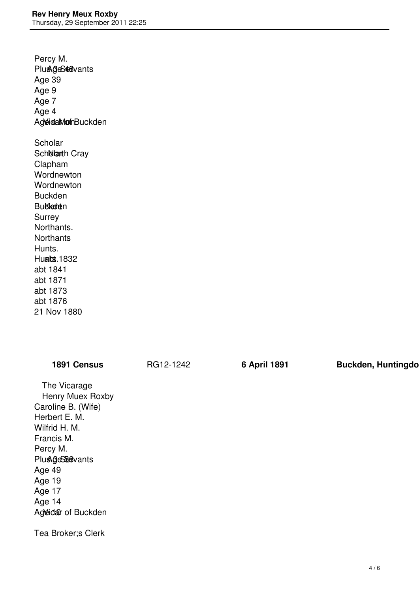Percy M. Plus 3 GS 48 vants Age 39 Age 9 Age 7 Age 4 AgeidaMonhBuckden **Scholar** Sch**idarth** Cray Clapham **Wordnewton Wordnewton**  Buckden **Bubleate**n Surrey Northants. **Northants**  Hunts. Huabs. 1832 abt 1841 abt 1871 abt 1873 abt 1876 21 Nov 1880

| 1891 Census                                                                                                                                                                                                 | RG12-1242 | 6 April 1891 | <b>Buckden, Huntingdo</b> |
|-------------------------------------------------------------------------------------------------------------------------------------------------------------------------------------------------------------|-----------|--------------|---------------------------|
| The Vicarage<br>Henry Muex Roxby<br>Caroline B. (Wife)<br>Herbert E. M.<br>Wilfrid H. M.<br>Francis M.<br>Percy M.<br><b>Plus GeSEs</b> vants<br>Age 49<br>Age 19<br>Age 17<br>Age 14<br>Ageidar of Buckden |           |              |                           |
| Tea Broker; s Clerk                                                                                                                                                                                         |           |              |                           |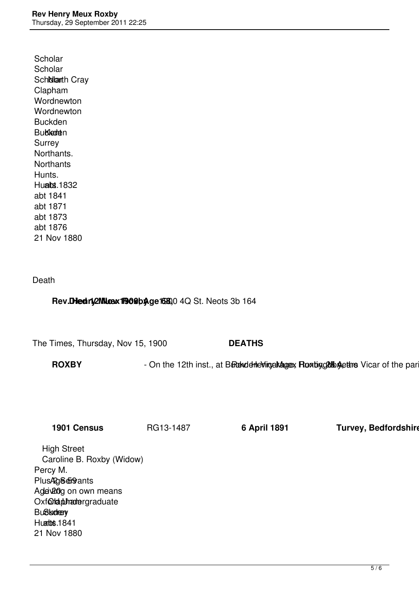**Scholar Scholar** Sch**olarth** Cray Clapham **Wordnewton Wordnewton**  Buckden **Bubledten**  Surrey Northants. **Northants**  Hunts. **Hualts. 1832**  abt 1841 abt 1871 abt 1873 abt 1876 21 Nov 1880

### Death

### Rev. Died rig 2NN. 02 X 1900 by age 1680, 04 Q St. Neots 3b 164

The Times, Thursday, Nov 15, 1900 **DEATHS**

ROXBY - On the 12th inst., at Bureau deling and analytic Rowbing Alberta Vicar of the part

**1901 Census** RG13-1487 **6 April 1891 Turvey, Bedfordshire**

 High Street Caroline B. Roxby (Widow) Percy M. Plus Age for ants Adevidg on own means Oxfoldtubhamergraduate **Bußkidren** Huatts. 1841 21 Nov 1880